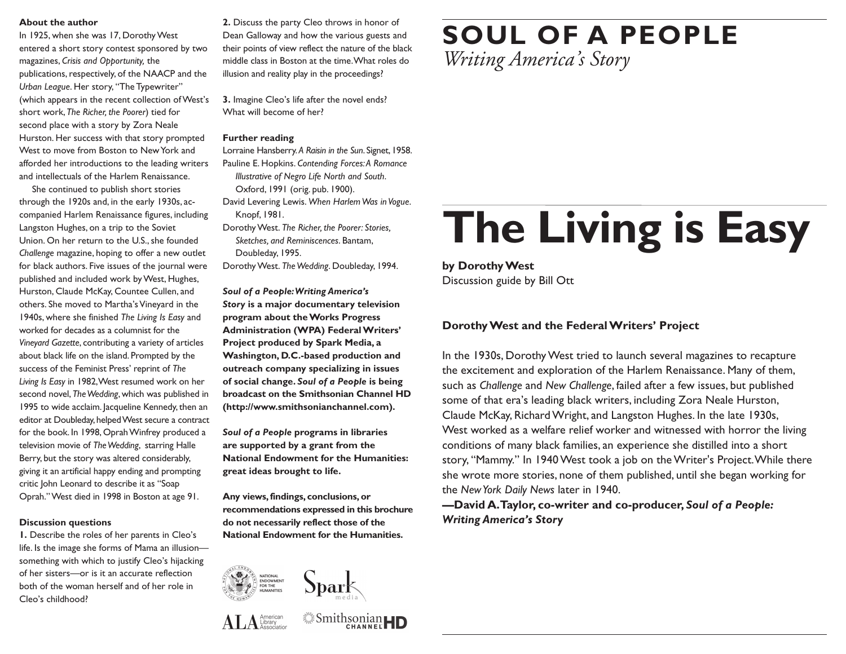### **About the author**

In 1925, when she was 17, Dorothy West entered a short story contest sponsored by two magazines, *Crisis and Opportunity,* the publications, respectively, of the NAACP and the *Urban League*. Her story, "The Typewriter" (which appears in the recent collection of West's short work,*The Richer, the Poorer*) tied for second place with a story by Zora Neale Hurston. Her success with that story prompted West to move from Boston to NewYork and afforded her introductions to the leading writers and intellectuals of the Harlem Renaissance.

She continued to publish short stories through the 1920s and, in the early 1930s, accompanied Harlem Renaissance figures, including Langston Hughes, on a trip to the Soviet Union. On her return to the U.S., she founded *Challenge* magazine, hoping to offer a new outlet for black authors. Five issues of the journal were published and included work byWest, Hughes, Hurston, Claude McKay, Countee Cullen, and others. She moved to Martha's Vineyard in the 1940s, where she finished *The Living Is Easy* and worked for decades as a columnist for the *Vineyard Gazette*, contributing a variety of articles about black life on the island. Prompted by the success of the Feminist Press' reprint of *The Living Is Easy* in 1982,West resumed work on her second novel, *TheWedding*, which was published in 1995 to wide acclaim. Jacqueline Kennedy, then an editor at Doubleday, helpedWest secure a contract for the book. In 1998, Oprah Winfrey produced a television movie of *TheWedding*, starring Halle Berry, but the story was altered considerably, giving it an artificial happy ending and prompting critic John Leonard to describe it as "Soap Oprah."West died in 1998 in Boston at age 91.

## **Discussion questions**

**1.** Describe the roles of her parents in Cleo's life. Is the image she forms of Mama an illusion something with which to justify Cleo's hijacking of her sisters—or is it an accurate reflection both of the woman herself and of her role in Cleo's childhood?

**2.** Discuss the party Cleo throws in honor of Dean Galloway and how the various guests and their points of view reflect the nature of the black middle class in Boston at the time.What roles do illusion and reality play in the proceedings?

**3.** Imagine Cleo's life after the novel ends? What will become of her?

## **Further reading**

Lorraine Hansberry. *A Raisin in the Sun*. Signet, 1958. Pauline E. Hopkins. *Contending Forces:A Romance Illustrative of Negro Life North and South*.

- Oxford, 1991 (orig. pub. 1900).
- David Levering Lewis. *When HarlemWas inVogue*. Knopf, 1981.
- DorothyWest. *The Richer, the Poorer: Stories, Sketches, and Reminiscences*. Bantam,
- Doubleday, 1995.

DorothyWest. *TheWedding*. Doubleday, 1994.

*Soul of a People:Writing America's Story* **is a major documentary television program about theWorks Progress Administration (WPA) FederalWriters' Project produced by Spark Media, a Washington, D.C.-based production and outreach company specializing in issues of social change.** *Soul of a People* **is being broadcast on the Smithsonian Channel HD (http://www.smithsonianchannel.com).**

*Soul of a People* **programs in libraries are supported by a grant from the National Endowment for the Humanities: great ideas brought to life.**

**Any views,findings, conclusions,or recommendations expressed in this brochure do not necessarily reflect those of the National Endowment for the Humanities.**



 $AT.A<sub>chend</sub>$ 



**Smithsonian** 

**SOUL OF A PEOPLE** *Writing America's Story*

# **The Living is Easy**

**by DorothyWest** Discussion guide by Bill Ott

# **DorothyWest and the FederalWriters' Project**

In the 1930s, DorothyWest tried to launch several magazines to recapture the excitement and exploration of the Harlem Renaissance. Many of them, such as *Challenge* and *New Challenge*, failed after a few issues, but published some of that era's leading black writers, including Zora Neale Hurston, Claude McKay, RichardWright, and Langston Hughes. In the late 1930s, West worked as a welfare relief worker and witnessed with horror the living conditions of many black families, an experience she distilled into a short story, "Mammy." In 1940West took a job on theWriter's Project.While there she wrote more stories, none of them published, until she began working for the *NewYork Daily News* later in 1940.

**—David A.Taylor, co-writer and co-producer,** *Soul of a People: Writing America's Story*